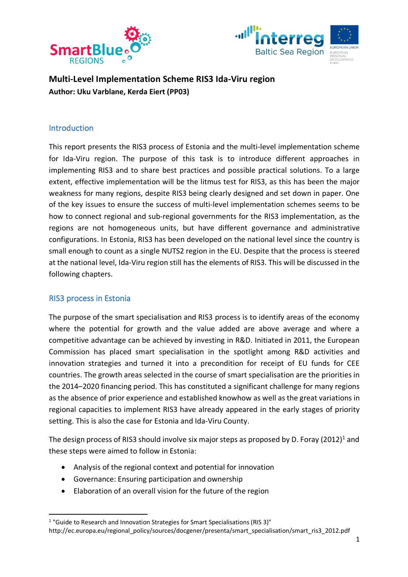



**Multi-Level Implementation Scheme RIS3 Ida-Viru region Author: Uku Varblane, Kerda Eiert (PP03)**

## **Introduction**

This report presents the RIS3 process of Estonia and the multi-level implementation scheme for Ida-Viru region. The purpose of this task is to introduce different approaches in implementing RIS3 and to share best practices and possible practical solutions. To a large extent, effective implementation will be the litmus test for RIS3, as this has been the major weakness for many regions, despite RIS3 being clearly designed and set down in paper. One of the key issues to ensure the success of multi-level implementation schemes seems to be how to connect regional and sub-regional governments for the RIS3 implementation, as the regions are not homogeneous units, but have different governance and administrative configurations. In Estonia, RIS3 has been developed on the national level since the country is small enough to count as a single NUTS2 region in the EU. Despite that the process is steered at the national level, Ida-Viru region still has the elements of RIS3. This will be discussed in the following chapters.

### RIS3 process in Estonia

The purpose of the smart specialisation and RIS3 process is to identify areas of the economy where the potential for growth and the value added are above average and where a competitive advantage can be achieved by investing in R&D. Initiated in 2011, the European Commission has placed smart specialisation in the spotlight among R&D activities and innovation strategies and turned it into a precondition for receipt of EU funds for CEE countries. The growth areas selected in the course of smart specialisation are the priorities in the 2014–2020 financing period. This has constituted a significant challenge for many regions as the absence of prior experience and established knowhow as well as the great variations in regional capacities to implement RIS3 have already appeared in the early stages of priority setting. This is also the case for Estonia and Ida-Viru County.

The design process of RIS3 should involve six major steps as proposed by D. Foray (2012)<sup>1</sup> and these steps were aimed to follow in Estonia:

- Analysis of the regional context and potential for innovation
- Governance: Ensuring participation and ownership
- Elaboration of an overall vision for the future of the region

 <sup>1</sup> "Guide to Research and Innovation Strategies for Smart Specialisations (RIS 3)" http://ec.europa.eu/regional\_policy/sources/docgener/presenta/smart\_specialisation/smart\_ris3\_2012.pdf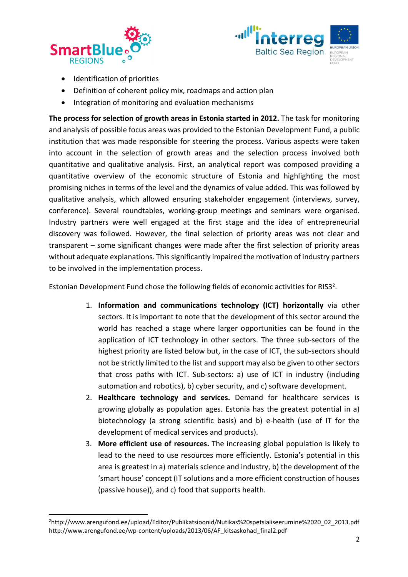



- Identification of priorities
- Definition of coherent policy mix, roadmaps and action plan
- Integration of monitoring and evaluation mechanisms

**The process for selection of growth areas in Estonia started in 2012.** The task for monitoring and analysis of possible focus areas was provided to the Estonian Development Fund, a public institution that was made responsible for steering the process. Various aspects were taken into account in the selection of growth areas and the selection process involved both quantitative and qualitative analysis. First, an analytical report was composed providing a quantitative overview of the economic structure of Estonia and highlighting the most promising niches in terms of the level and the dynamics of value added. This was followed by qualitative analysis, which allowed ensuring stakeholder engagement (interviews, survey, conference). Several roundtables, working-group meetings and seminars were organised. Industry partners were well engaged at the first stage and the idea of entrepreneurial discovery was followed. However, the final selection of priority areas was not clear and transparent – some significant changes were made after the first selection of priority areas without adequate explanations. This significantly impaired the motivation of industry partners to be involved in the implementation process.

Estonian Development Fund chose the following fields of economic activities for RIS3<sup>2</sup>.

- 1. **Information and communications technology (ICT) horizontally** via other sectors. It is important to note that the development of this sector around the world has reached a stage where larger opportunities can be found in the application of ICT technology in other sectors. The three sub-sectors of the highest priority are listed below but, in the case of ICT, the sub-sectors should not be strictly limited to the list and support may also be given to other sectors that cross paths with ICT. Sub-sectors: a) use of ICT in industry (including automation and robotics), b) cyber security, and c) software development.
- 2. **Healthcare technology and services.** Demand for healthcare services is growing globally as population ages. Estonia has the greatest potential in a) biotechnology (a strong scientific basis) and b) e-health (use of IT for the development of medical services and products).
- 3. **More efficient use of resources.** The increasing global population is likely to lead to the need to use resources more efficiently. Estonia's potential in this area is greatest in a) materials science and industry, b) the development of the 'smart house' concept (IT solutions and a more efficient construction of houses (passive house)), and c) food that supports health.

 $\overline{2}$ <sup>2</sup>http://www.arengufond.ee/upload/Editor/Publikatsioonid/Nutikas%20spetsialiseerumine%2020\_02\_2013.pdf http://www.arengufond.ee/wp-content/uploads/2013/06/AF\_kitsaskohad\_final2.pdf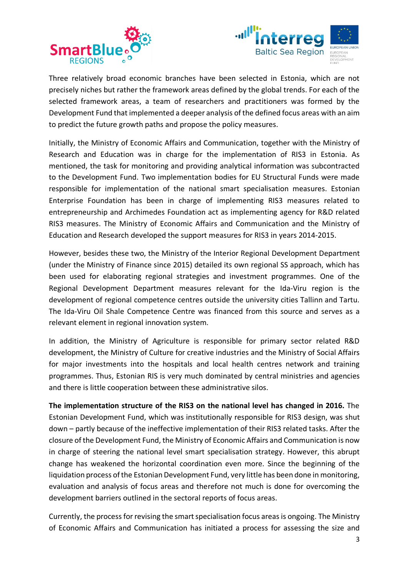



Three relatively broad economic branches have been selected in Estonia, which are not precisely niches but rather the framework areas defined by the global trends. For each of the selected framework areas, a team of researchers and practitioners was formed by the Development Fund that implemented a deeper analysis of the defined focus areas with an aim to predict the future growth paths and propose the policy measures.

Initially, the Ministry of Economic Affairs and Communication, together with the Ministry of Research and Education was in charge for the implementation of RIS3 in Estonia. As mentioned, the task for monitoring and providing analytical information was subcontracted to the Development Fund. Two implementation bodies for EU Structural Funds were made responsible for implementation of the national smart specialisation measures. Estonian Enterprise Foundation has been in charge of implementing RIS3 measures related to entrepreneurship and Archimedes Foundation act as implementing agency for R&D related RIS3 measures. The Ministry of Economic Affairs and Communication and the Ministry of Education and Research developed the support measures for RIS3 in years 2014-2015.

However, besides these two, the Ministry of the Interior Regional Development Department (under the Ministry of Finance since 2015) detailed its own regional SS approach, which has been used for elaborating regional strategies and investment programmes. One of the Regional Development Department measures relevant for the Ida-Viru region is the development of regional competence centres outside the university cities Tallinn and Tartu. The Ida-Viru Oil Shale Competence Centre was financed from this source and serves as a relevant element in regional innovation system.

In addition, the Ministry of Agriculture is responsible for primary sector related R&D development, the Ministry of Culture for creative industries and the Ministry of Social Affairs for major investments into the hospitals and local health centres network and training programmes. Thus, Estonian RIS is very much dominated by central ministries and agencies and there is little cooperation between these administrative silos.

**The implementation structure of the RIS3 on the national level has changed in 2016.** The Estonian Development Fund, which was institutionally responsible for RIS3 design, was shut down – partly because of the ineffective implementation of their RIS3 related tasks. After the closure of the Development Fund, the Ministry of Economic Affairs and Communication is now in charge of steering the national level smart specialisation strategy. However, this abrupt change has weakened the horizontal coordination even more. Since the beginning of the liquidation process of the Estonian Development Fund, very little has been done in monitoring, evaluation and analysis of focus areas and therefore not much is done for overcoming the development barriers outlined in the sectoral reports of focus areas.

Currently, the process for revising the smart specialisation focus areas is ongoing. The Ministry of Economic Affairs and Communication has initiated a process for assessing the size and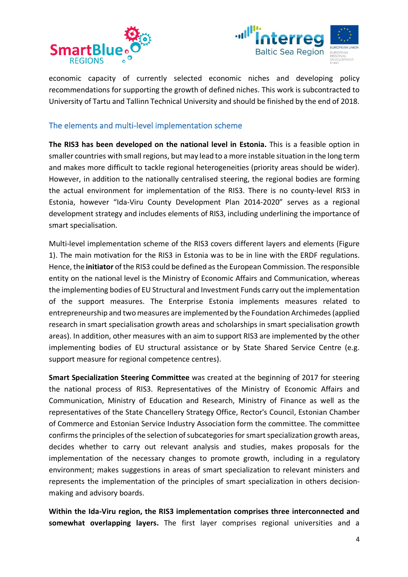



economic capacity of currently selected economic niches and developing policy recommendations for supporting the growth of defined niches. This work is subcontracted to University of Tartu and Tallinn Technical University and should be finished by the end of 2018.

# The elements and multi-level implementation scheme

**The RIS3 has been developed on the national level in Estonia.** This is a feasible option in smaller countries with small regions, but may lead to a more instable situation in the long term and makes more difficult to tackle regional heterogeneities (priority areas should be wider). However, in addition to the nationally centralised steering, the regional bodies are forming the actual environment for implementation of the RIS3. There is no county-level RIS3 in Estonia, however "Ida-Viru County Development Plan 2014-2020" serves as a regional development strategy and includes elements of RIS3, including underlining the importance of smart specialisation.

Multi-level implementation scheme of the RIS3 covers different layers and elements (Figure 1). The main motivation for the RIS3 in Estonia was to be in line with the ERDF regulations. Hence, the **initiator** of the RIS3 could be defined as the European Commission. The responsible entity on the national level is the Ministry of Economic Affairs and Communication, whereas the implementing bodies of EU Structural and Investment Funds carry out the implementation of the support measures. The Enterprise Estonia implements measures related to entrepreneurship and two measures are implemented by the Foundation Archimedes (applied research in smart specialisation growth areas and scholarships in smart specialisation growth areas). In addition, other measures with an aim to support RIS3 are implemented by the other implementing bodies of EU structural assistance or by State Shared Service Centre (e.g. support measure for regional competence centres).

**Smart Specialization Steering Committee** was created at the beginning of 2017 for steering the national process of RIS3. Representatives of the Ministry of Economic Affairs and Communication, Ministry of Education and Research, Ministry of Finance as well as the representatives of the State Chancellery Strategy Office, Rector's Council, Estonian Chamber of Commerce and Estonian Service Industry Association form the committee. The committee confirms the principles of the selection of subcategories for smart specialization growth areas, decides whether to carry out relevant analysis and studies, makes proposals for the implementation of the necessary changes to promote growth, including in a regulatory environment; makes suggestions in areas of smart specialization to relevant ministers and represents the implementation of the principles of smart specialization in others decisionmaking and advisory boards.

**Within the Ida-Viru region, the RIS3 implementation comprises three interconnected and somewhat overlapping layers.** The first layer comprises regional universities and a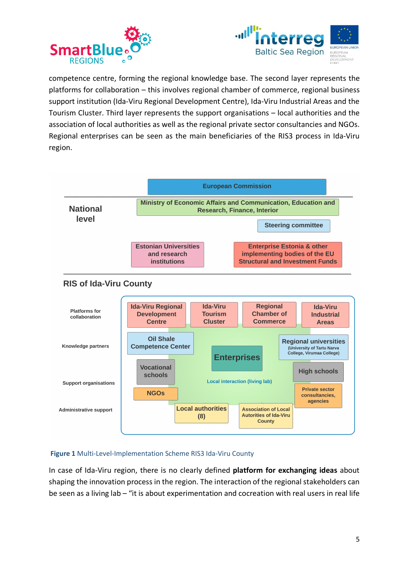



competence centre, forming the regional knowledge base. The second layer represents the platforms for collaboration – this involves regional chamber of commerce, regional business support institution (Ida-Viru Regional Development Centre), Ida-Viru Industrial Areas and the Tourism Cluster. Third layer represents the support organisations – local authorities and the association of local authorities as well as the regional private sector consultancies and NGOs. Regional enterprises can be seen as the main beneficiaries of the RIS3 process in Ida-Viru region.



#### **Figure 1** Multi-Level-Implementation Scheme RIS3 Ida-Viru County

In case of Ida-Viru region, there is no clearly defined **platform for exchanging ideas** about shaping the innovation process in the region. The interaction of the regional stakeholders can be seen as a living lab – "it is about experimentation and cocreation with real users in real life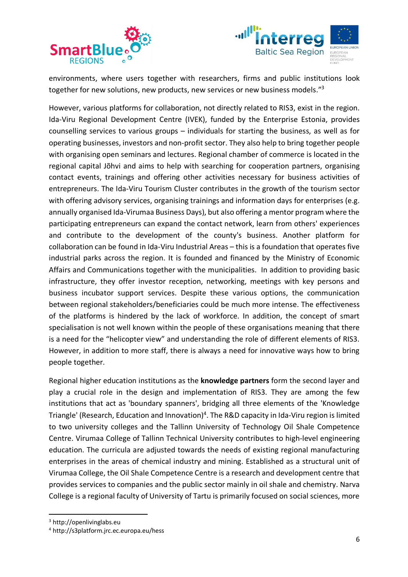



environments, where users together with researchers, firms and public institutions look together for new solutions, new products, new services or new business models."<sup>3</sup>

However, various platforms for collaboration, not directly related to RIS3, exist in the region. Ida-Viru Regional Development Centre (IVEK), funded by the Enterprise Estonia, provides counselling services to various groups – individuals for starting the business, as well as for operating businesses, investors and non-profit sector. They also help to bring together people with organising open seminars and lectures. Regional chamber of commerce is located in the regional capital Jõhvi and aims to help with searching for cooperation partners, organising contact events, trainings and offering other activities necessary for business activities of entrepreneurs. The Ida-Viru Tourism Cluster contributes in the growth of the tourism sector with offering advisory services, organising trainings and information days for enterprises (e.g. annually organised Ida-Virumaa Business Days), but also offering a mentor program where the participating entrepreneurs can expand the contact network, learn from others' experiences and contribute to the development of the county's business. Another platform for collaboration can be found in Ida-Viru Industrial Areas – this is a foundation that operates five industrial parks across the region. It is founded and financed by the Ministry of Economic Affairs and Communications together with the municipalities. In addition to providing basic infrastructure, they offer investor reception, networking, meetings with key persons and business incubator support services. Despite these various options, the communication between regional stakeholders/beneficiaries could be much more intense. The effectiveness of the platforms is hindered by the lack of workforce. In addition, the concept of smart specialisation is not well known within the people of these organisations meaning that there is a need for the "helicopter view" and understanding the role of different elements of RIS3. However, in addition to more staff, there is always a need for innovative ways how to bring people together.

Regional higher education institutions as the **knowledge partners** form the second layer and play a crucial role in the design and implementation of RIS3. They are among the few institutions that act as 'boundary spanners', bridging all three elements of the 'Knowledge Triangle' (Research, Education and Innovation)<sup>4</sup>. The R&D capacity in Ida-Viru region is limited to two university colleges and the Tallinn University of Technology Oil Shale Competence Centre. Virumaa College of Tallinn Technical University contributes to high-level engineering education. The curricula are adjusted towards the needs of existing regional manufacturing enterprises in the areas of chemical industry and mining. Established as a structural unit of Virumaa College, the Oil Shale Competence Centre is a research and development centre that provides services to companies and the public sector mainly in oil shale and chemistry. Narva College is a regional faculty of University of Tartu is primarily focused on social sciences, more

 <sup>3</sup> http://openlivinglabs.eu

<sup>4</sup> http://s3platform.jrc.ec.europa.eu/hess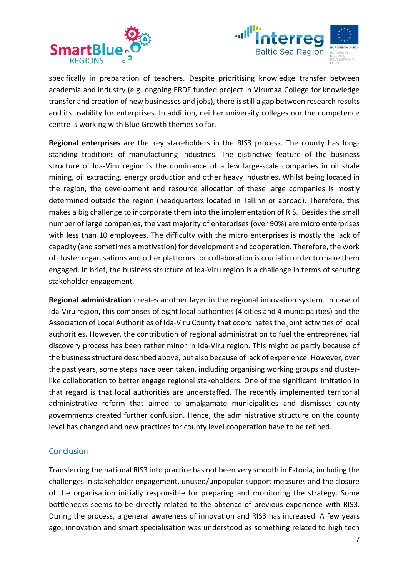



specifically in preparation of teachers. Despite prioritising knowledge transfer between academia and industry (e.g. ongoing ERDF funded project in Virumaa College for knowledge transfer and creation of new businesses and jobs), there is still a gap between research results and its usability for enterprises. In addition, neither university colleges nor the competence centre is working with Blue Growth themes so far.

**Regional enterprises** are the key stakeholders in the RIS3 process. The county has longstanding traditions of manufacturing industries. The distinctive feature of the business structure of Ida-Viru region is the dominance of a few large-scale companies in oil shale mining, oil extracting, energy production and other heavy industries. Whilst being located in the region, the development and resource allocation of these large companies is mostly determined outside the region (headquarters located in Tallinn or abroad). Therefore, this makes a big challenge to incorporate them into the implementation of RIS. Besides the small number of large companies, the vast majority of enterprises (over 90%) are micro enterprises with less than 10 employees. The difficulty with the micro enterprises is mostly the lack of capacity (and sometimes a motivation) for development and cooperation. Therefore, the work of cluster organisations and other platforms for collaboration is crucial in order to make them engaged. In brief, the business structure of Ida-Viru region is a challenge in terms of securing stakeholder engagement.

**Regional administration** creates another layer in the regional innovation system. In case of Ida-Viru region, this comprises of eight local authorities (4 cities and 4 municipalities) and the Association of Local Authorities of Ida-Viru County that coordinates the joint activities of local authorities. However, the contribution of regional administration to fuel the entrepreneurial discovery process has been rather minor in Ida-Viru region. This might be partly because of the business structure described above, but also because of lack of experience. However, over the past years, some steps have been taken, including organising working groups and clusterlike collaboration to better engage regional stakeholders. One of the significant limitation in that regard is that local authorities are understaffed. The recently implemented territorial administrative reform that aimed to amalgamate municipalities and dismisses county governments created further confusion. Hence, the administrative structure on the county level has changed and new practices for county level cooperation have to be refined.

# **Conclusion**

Transferring the national RIS3 into practice has not been very smooth in Estonia, including the challenges in stakeholder engagement, unused/unpopular support measures and the closure of the organisation initially responsible for preparing and monitoring the strategy. Some bottlenecks seems to be directly related to the absence of previous experience with RIS3. During the process, a general awareness of innovation and RIS3 has increased. A few years ago, innovation and smart specialisation was understood as something related to high tech